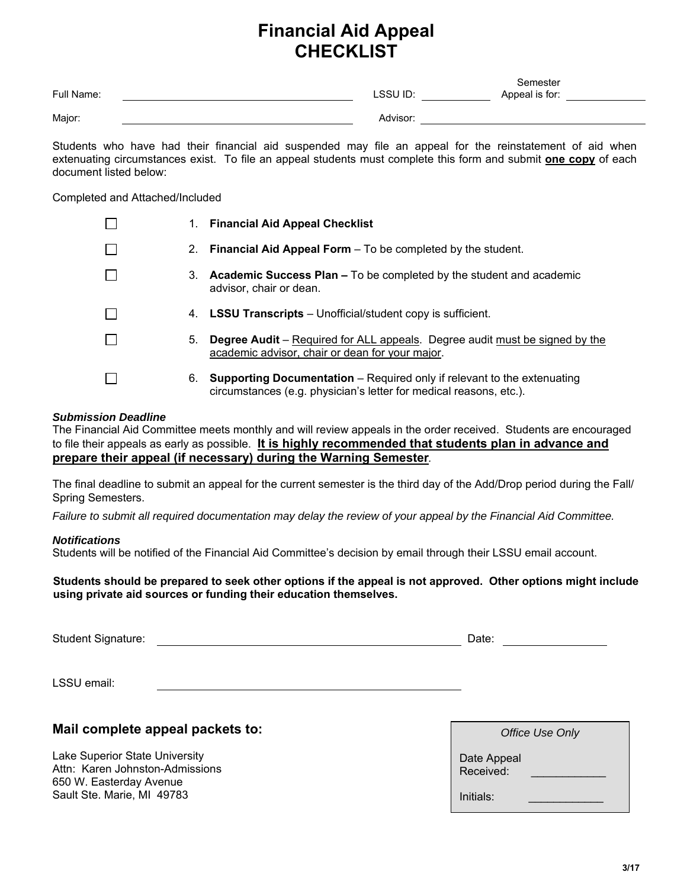## **Financial Aid Appeal CHECKLIST**

| Full Name: | LSSU ID: | Semester<br>Appeal is for: |
|------------|----------|----------------------------|
| Major:     | Advisor: |                            |

Students who have had their financial aid suspended may file an appeal for the reinstatement of aid when extenuating circumstances exist. To file an appeal students must complete this form and submit **one copy** of each document listed below:

#### Completed and Attached/Included

|         |    | 1. Financial Aid Appeal Checklist                                                                                                                    |
|---------|----|------------------------------------------------------------------------------------------------------------------------------------------------------|
|         |    | 2. Financial Aid Appeal Form $-$ To be completed by the student.                                                                                     |
|         |    | 3. Academic Success Plan – To be completed by the student and academic<br>advisor, chair or dean.                                                    |
| $\perp$ |    | 4. <b>LSSU Transcripts</b> – Unofficial/student copy is sufficient.                                                                                  |
|         | 5. | <b>Degree Audit</b> – Required for ALL appeals. Degree audit must be signed by the<br>academic advisor, chair or dean for your major.                |
|         | 6. | <b>Supporting Documentation</b> – Required only if relevant to the extenuating<br>circumstances (e.g. physician's letter for medical reasons, etc.). |

#### *Submission Deadline*

The Financial Aid Committee meets monthly and will review appeals in the order received. Students are encouraged to file their appeals as early as possible. **It is highly recommended that students plan in advance and prepare their appeal (if necessary) during the Warning Semester***.* 

The final deadline to submit an appeal for the current semester is the third day of the Add/Drop period during the Fall/ Spring Semesters.

*Failure to submit all required documentation may delay the review of your appeal by the Financial Aid Committee.*

#### *Notifications*

Students will be notified of the Financial Aid Committee's decision by email through their LSSU email account.

**Students should be prepared to seek other options if the appeal is not approved. Other options might include using private aid sources or funding their education themselves.** 

Student Signature: Date: Date: Date: Date: Date: Date: Date: Date: Date: Date: Date: Date: Date: Date: Date: Date: Date: Date: Date: Date: Date: Date: Date: Date: Date: Date: Date: Date: Date: Date: Date: Date: Date: Date:

LSSU email:

### **Mail complete appeal packets to:**

Lake Superior State University Attn: Karen Johnston-Admissions 650 W. Easterday Avenue Sault Ste. Marie, MI 49783

| Office Use Only          |
|--------------------------|
| Date Appeal<br>Received: |
| $Initials$ :             |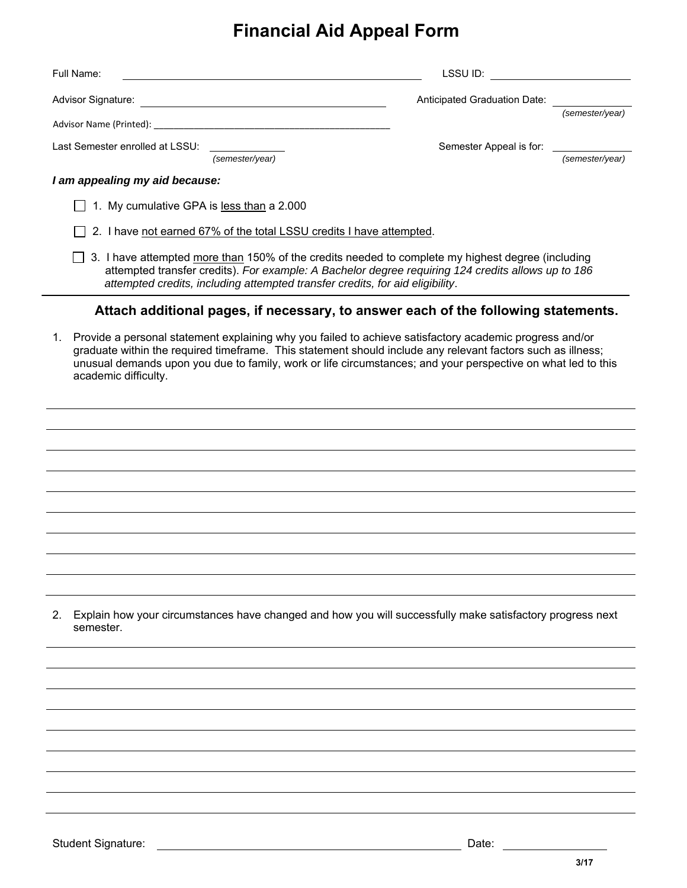# **Financial Aid Appeal Form**

| Full Name:                                                                                                                                                                                                                                                                                                                                                           | LSSU ID:                     |                 |
|----------------------------------------------------------------------------------------------------------------------------------------------------------------------------------------------------------------------------------------------------------------------------------------------------------------------------------------------------------------------|------------------------------|-----------------|
| Advisor Signature:<br><u> 1989 - Johann Stoff, deutscher Stoffen und der Stoffen und der Stoffen und der Stoffen und der Stoffen und d</u>                                                                                                                                                                                                                           | Anticipated Graduation Date: |                 |
|                                                                                                                                                                                                                                                                                                                                                                      |                              | (semester/year) |
| Last Semester enrolled at LSSU:<br>(semester/year)                                                                                                                                                                                                                                                                                                                   | Semester Appeal is for:      | (semester/year) |
| I am appealing my aid because:                                                                                                                                                                                                                                                                                                                                       |                              |                 |
| 1. My cumulative GPA is less than a 2.000                                                                                                                                                                                                                                                                                                                            |                              |                 |
| 2. I have not earned 67% of the total LSSU credits I have attempted.                                                                                                                                                                                                                                                                                                 |                              |                 |
| 3. I have attempted more than 150% of the credits needed to complete my highest degree (including<br>attempted transfer credits). For example: A Bachelor degree requiring 124 credits allows up to 186<br>attempted credits, including attempted transfer credits, for aid eligibility.                                                                             |                              |                 |
| Attach additional pages, if necessary, to answer each of the following statements.                                                                                                                                                                                                                                                                                   |                              |                 |
| Provide a personal statement explaining why you failed to achieve satisfactory academic progress and/or<br>1.<br>graduate within the required timeframe. This statement should include any relevant factors such as illness;<br>unusual demands upon you due to family, work or life circumstances; and your perspective on what led to this<br>academic difficulty. |                              |                 |
|                                                                                                                                                                                                                                                                                                                                                                      |                              |                 |
|                                                                                                                                                                                                                                                                                                                                                                      |                              |                 |
|                                                                                                                                                                                                                                                                                                                                                                      |                              |                 |
|                                                                                                                                                                                                                                                                                                                                                                      |                              |                 |
|                                                                                                                                                                                                                                                                                                                                                                      |                              |                 |
|                                                                                                                                                                                                                                                                                                                                                                      |                              |                 |
|                                                                                                                                                                                                                                                                                                                                                                      |                              |                 |
| Explain how your circumstances have changed and how you will successfully make satisfactory progress next<br>2.<br>semester.                                                                                                                                                                                                                                         |                              |                 |
|                                                                                                                                                                                                                                                                                                                                                                      |                              |                 |
|                                                                                                                                                                                                                                                                                                                                                                      |                              |                 |
|                                                                                                                                                                                                                                                                                                                                                                      |                              |                 |
|                                                                                                                                                                                                                                                                                                                                                                      |                              |                 |
|                                                                                                                                                                                                                                                                                                                                                                      |                              |                 |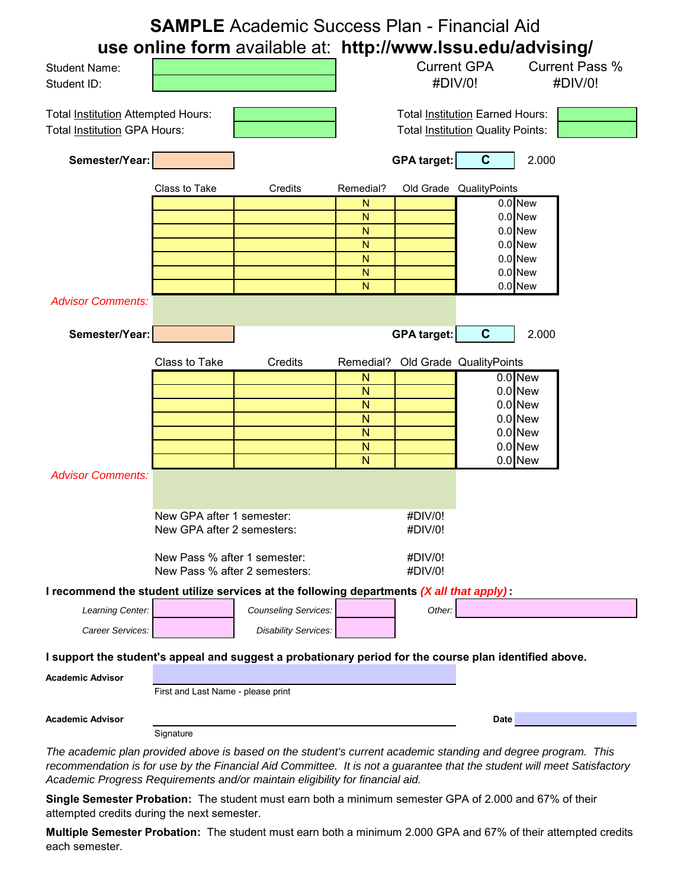|                                                                                                                                                                                                                                                                                                                           |                                                               | <b>SAMPLE</b> Academic Success Plan - Financial Aid         |                   |                                                                             |                         |                        |                       |
|---------------------------------------------------------------------------------------------------------------------------------------------------------------------------------------------------------------------------------------------------------------------------------------------------------------------------|---------------------------------------------------------------|-------------------------------------------------------------|-------------------|-----------------------------------------------------------------------------|-------------------------|------------------------|-----------------------|
|                                                                                                                                                                                                                                                                                                                           |                                                               | use online form available at: http://www.lssu.edu/advising/ |                   | <b>Current GPA</b>                                                          |                         |                        | <b>Current Pass %</b> |
| <b>Student Name:</b><br>Student ID:                                                                                                                                                                                                                                                                                       |                                                               |                                                             |                   | #DIV/0!                                                                     |                         |                        | #DIV/0!               |
| Total Institution Attempted Hours:<br>Total Institution GPA Hours:                                                                                                                                                                                                                                                        |                                                               |                                                             |                   | <b>Total Institution Earned Hours:</b><br>Total Institution Quality Points: |                         |                        |                       |
| Semester/Year:                                                                                                                                                                                                                                                                                                            |                                                               |                                                             |                   | <b>GPA target:</b>                                                          | C                       | 2.000                  |                       |
|                                                                                                                                                                                                                                                                                                                           | Class to Take                                                 | Credits                                                     | Remedial?         |                                                                             | Old Grade QualityPoints |                        |                       |
|                                                                                                                                                                                                                                                                                                                           |                                                               |                                                             | N<br>N            |                                                                             |                         | 0.0 New<br>0.0 New     |                       |
|                                                                                                                                                                                                                                                                                                                           |                                                               |                                                             | N                 |                                                                             |                         | $0.0$ New              |                       |
|                                                                                                                                                                                                                                                                                                                           |                                                               |                                                             | N                 |                                                                             |                         | $0.0$ New              |                       |
|                                                                                                                                                                                                                                                                                                                           |                                                               |                                                             | N<br>N            |                                                                             |                         | $0.0$ New<br>0.0 New   |                       |
|                                                                                                                                                                                                                                                                                                                           |                                                               |                                                             | N.                |                                                                             |                         | 0.0 New                |                       |
| <b>Advisor Comments:</b>                                                                                                                                                                                                                                                                                                  |                                                               |                                                             |                   |                                                                             |                         |                        |                       |
| Semester/Year:                                                                                                                                                                                                                                                                                                            |                                                               |                                                             |                   | <b>GPA target:</b>                                                          | $\mathbf C$             | 2.000                  |                       |
|                                                                                                                                                                                                                                                                                                                           | Class to Take                                                 | Credits                                                     | Remedial?         | Old Grade QualityPoints                                                     |                         |                        |                       |
|                                                                                                                                                                                                                                                                                                                           |                                                               |                                                             | $\mathsf{N}$      |                                                                             |                         | 0.0 New                |                       |
|                                                                                                                                                                                                                                                                                                                           |                                                               |                                                             | N<br>$\mathsf{N}$ |                                                                             |                         | $0.0$ New<br>$0.0$ New |                       |
|                                                                                                                                                                                                                                                                                                                           |                                                               |                                                             | $\mathsf{N}$      |                                                                             |                         | $0.0$ New              |                       |
|                                                                                                                                                                                                                                                                                                                           |                                                               |                                                             | $\mathsf{N}$      |                                                                             |                         | $0.0$ New              |                       |
|                                                                                                                                                                                                                                                                                                                           |                                                               |                                                             | N                 |                                                                             |                         | $0.0$ New              |                       |
| <b>Advisor Comments:</b>                                                                                                                                                                                                                                                                                                  |                                                               |                                                             | N                 |                                                                             |                         | $0.0$ New              |                       |
|                                                                                                                                                                                                                                                                                                                           |                                                               |                                                             |                   |                                                                             |                         |                        |                       |
|                                                                                                                                                                                                                                                                                                                           | New GPA after 1 semester:                                     |                                                             |                   | #DIV/0!                                                                     |                         |                        |                       |
|                                                                                                                                                                                                                                                                                                                           | New GPA after 2 semesters:                                    |                                                             |                   | #DIV/0!                                                                     |                         |                        |                       |
|                                                                                                                                                                                                                                                                                                                           | New Pass % after 1 semester:<br>New Pass % after 2 semesters: |                                                             |                   | #DIV/0!<br>#DIV/0!                                                          |                         |                        |                       |
| I recommend the student utilize services at the following departments (X all that apply):                                                                                                                                                                                                                                 |                                                               |                                                             |                   |                                                                             |                         |                        |                       |
| Learning Center:                                                                                                                                                                                                                                                                                                          |                                                               | <b>Counseling Services:</b>                                 |                   | Other:                                                                      |                         |                        |                       |
| Career Services:                                                                                                                                                                                                                                                                                                          |                                                               | <b>Disability Services:</b>                                 |                   |                                                                             |                         |                        |                       |
| I support the student's appeal and suggest a probationary period for the course plan identified above.                                                                                                                                                                                                                    |                                                               |                                                             |                   |                                                                             |                         |                        |                       |
| <b>Academic Advisor</b>                                                                                                                                                                                                                                                                                                   |                                                               |                                                             |                   |                                                                             |                         |                        |                       |
|                                                                                                                                                                                                                                                                                                                           | First and Last Name - please print                            |                                                             |                   |                                                                             |                         |                        |                       |
| <b>Academic Advisor</b>                                                                                                                                                                                                                                                                                                   |                                                               |                                                             |                   |                                                                             | <b>Date</b>             |                        |                       |
|                                                                                                                                                                                                                                                                                                                           | Signature                                                     |                                                             |                   |                                                                             |                         |                        |                       |
| The academic plan provided above is based on the student's current academic standing and degree program. This<br>recommendation is for use by the Financial Aid Committee. It is not a guarantee that the student will meet Satisfactory<br>Academic Progress Requirements and/or maintain eligibility for financial aid. |                                                               |                                                             |                   |                                                                             |                         |                        |                       |

**Single Semester Probation:** The student must earn both a minimum semester GPA of 2.000 and 67% of their attempted credits during the next semester.

**Multiple Semester Probation:** The student must earn both a minimum 2.000 GPA and 67% of their attempted credits each semester.